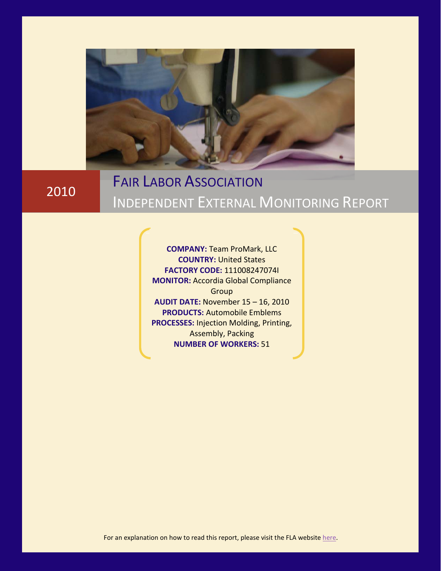

## 2010

# FAIR LABOR ASSOCIATION INDEPENDENT EXTERNAL MONITORING REPORT

**COMPANY:** Team ProMark, LLC **COUNTRY:** United States **FACTORY CODE:** 111008247074I **MONITOR:** Accordia Global Compliance Group **AUDIT DATE:** November 15 – 16, 2010 **PRODUCTS:** Automobile Emblems **PROCESSES:** Injection Molding, Printing, Assembly, Packing **NUMBER OF WORKERS:** 51

For an explanation on how to read this report, please visit the FLA website [here.](http://www.fairlabor.org/fla/go.asp?u=/pub/mp&Page=read_tracking_charts)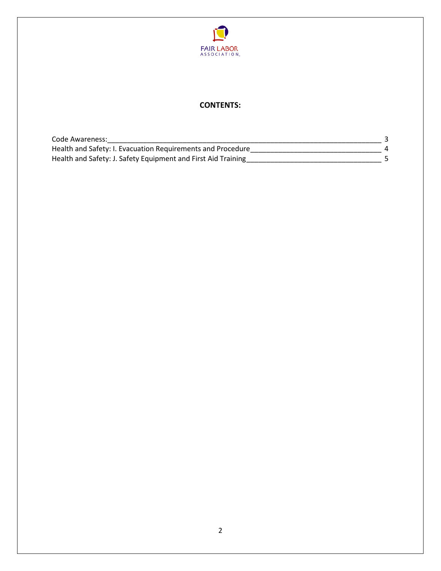

### **CONTENTS:**

| Code Awareness:                                               |  |
|---------------------------------------------------------------|--|
| Health and Safety: I. Evacuation Requirements and Procedure   |  |
| Health and Safety: J. Safety Equipment and First Aid Training |  |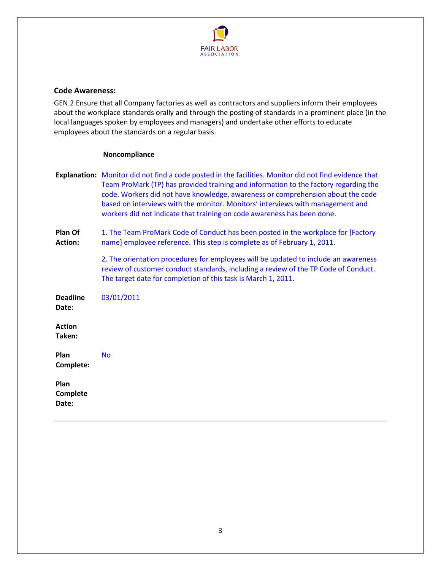

#### <span id="page-2-0"></span>**Code Awareness:**

GEN.2 Ensure that all Company factories as well as contractors and suppliers inform their employees about the workplace standards orally and through the posting of standards in a prominent place (in the local languages spoken by employees and managers) and undertake other efforts to educate employees about the standards on a regular basis.

#### **Noncompliance**

|                                  | Explanation: Monitor did not find a code posted in the facilities. Monitor did not find evidence that<br>Team ProMark (TP) has provided training and information to the factory regarding the<br>code. Workers did not have knowledge, awareness or comprehension about the code<br>based on interviews with the monitor. Monitors' interviews with management and<br>workers did not indicate that training on code awareness has been done. |
|----------------------------------|-----------------------------------------------------------------------------------------------------------------------------------------------------------------------------------------------------------------------------------------------------------------------------------------------------------------------------------------------------------------------------------------------------------------------------------------------|
| <b>Plan Of</b><br><b>Action:</b> | 1. The Team ProMark Code of Conduct has been posted in the workplace for [Factory<br>name] employee reference. This step is complete as of February 1, 2011.                                                                                                                                                                                                                                                                                  |
|                                  | 2. The orientation procedures for employees will be updated to include an awareness<br>review of customer conduct standards, including a review of the TP Code of Conduct.<br>The target date for completion of this task is March 1, 2011.                                                                                                                                                                                                   |
| <b>Deadline</b><br>Date:         | 03/01/2011                                                                                                                                                                                                                                                                                                                                                                                                                                    |
| <b>Action</b><br>Taken:          |                                                                                                                                                                                                                                                                                                                                                                                                                                               |
| Plan<br>Complete:                | <b>No</b>                                                                                                                                                                                                                                                                                                                                                                                                                                     |
| Plan<br>Complete<br>Date:        |                                                                                                                                                                                                                                                                                                                                                                                                                                               |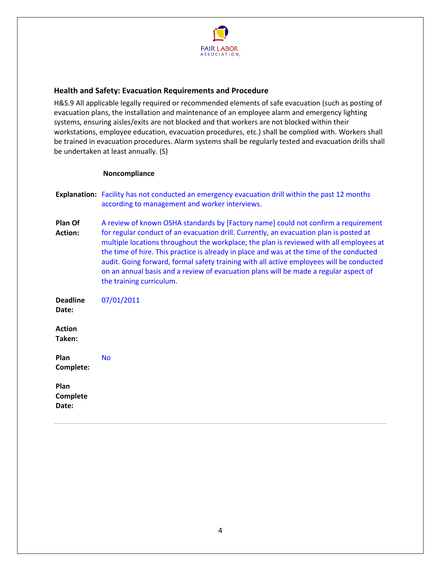

#### <span id="page-3-0"></span>**Health and Safety: Evacuation Requirements and Procedure**

H&S.9 All applicable legally required or recommended elements of safe evacuation (such as posting of evacuation plans, the installation and maintenance of an employee alarm and emergency lighting systems, ensuring aisles/exits are not blocked and that workers are not blocked within their workstations, employee education, evacuation procedures, etc.) shall be complied with. Workers shall be trained in evacuation procedures. Alarm systems shall be regularly tested and evacuation drills shall be undertaken at least annually. (S)

#### **Noncompliance**

| <b>Explanation:</b> Facility has not conducted an emergency evacuation drill within the past 12 months |
|--------------------------------------------------------------------------------------------------------|
| according to management and worker interviews.                                                         |

**Plan Of Action:**  A review of known OSHA standards by [Factory name] could not confirm a requirement for regular conduct of an evacuation drill. Currently, an evacuation plan is posted at multiple locations throughout the workplace; the plan is reviewed with all employees at the time of hire. This practice is already in place and was at the time of the conducted audit. Going forward, formal safety training with all active employees will be conducted on an annual basis and a review of evacuation plans will be made a regular aspect of the training curriculum.

**Deadline Date:**  07/01/2011 **Action Taken: Plan Complete:**  No

**Plan Complete Date:**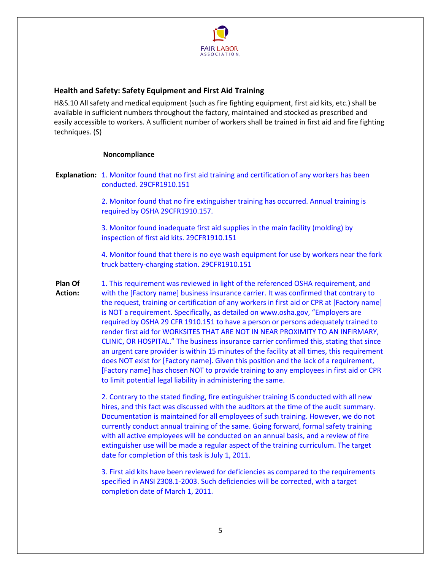

#### <span id="page-4-0"></span>**Health and Safety: Safety Equipment and First Aid Training**

H&S.10 All safety and medical equipment (such as fire fighting equipment, first aid kits, etc.) shall be available in sufficient numbers throughout the factory, maintained and stocked as prescribed and easily accessible to workers. A sufficient number of workers shall be trained in first aid and fire fighting techniques. (S)

#### **Noncompliance**

**Explanation:** 1. Monitor found that no first aid training and certification of any workers has been conducted. 29CFR1910.151

> 2. Monitor found that no fire extinguisher training has occurred. Annual training is required by OSHA 29CFR1910.157.

3. Monitor found inadequate first aid supplies in the main facility (molding) by inspection of first aid kits. 29CFR1910.151

4. Monitor found that there is no eye wash equipment for use by workers near the fork truck battery-charging station. 29CFR1910.151

**Plan Of Action:**  1. This requirement was reviewed in light of the referenced OSHA requirement, and with the [Factory name] business insurance carrier. It was confirmed that contrary to the request, training or certification of any workers in first aid or CPR at [Factory name] is NOT a requirement. Specifically, as detailed on www.osha.gov, "Employers are required by OSHA 29 CFR 1910.151 to have a person or persons adequately trained to render first aid for WORKSITES THAT ARE NOT IN NEAR PROXIMITY TO AN INFIRMARY, CLINIC, OR HOSPITAL." The business insurance carrier confirmed this, stating that since an urgent care provider is within 15 minutes of the facility at all times, this requirement does NOT exist for [Factory name]. Given this position and the lack of a requirement, [Factory name] has chosen NOT to provide training to any employees in first aid or CPR to limit potential legal liability in administering the same.

> 2. Contrary to the stated finding, fire extinguisher training IS conducted with all new hires, and this fact was discussed with the auditors at the time of the audit summary. Documentation is maintained for all employees of such training. However, we do not currently conduct annual training of the same. Going forward, formal safety training with all active employees will be conducted on an annual basis, and a review of fire extinguisher use will be made a regular aspect of the training curriculum. The target date for completion of this task is July 1, 2011.

> 3. First aid kits have been reviewed for deficiencies as compared to the requirements specified in ANSI Z308.1-2003. Such deficiencies will be corrected, with a target completion date of March 1, 2011.